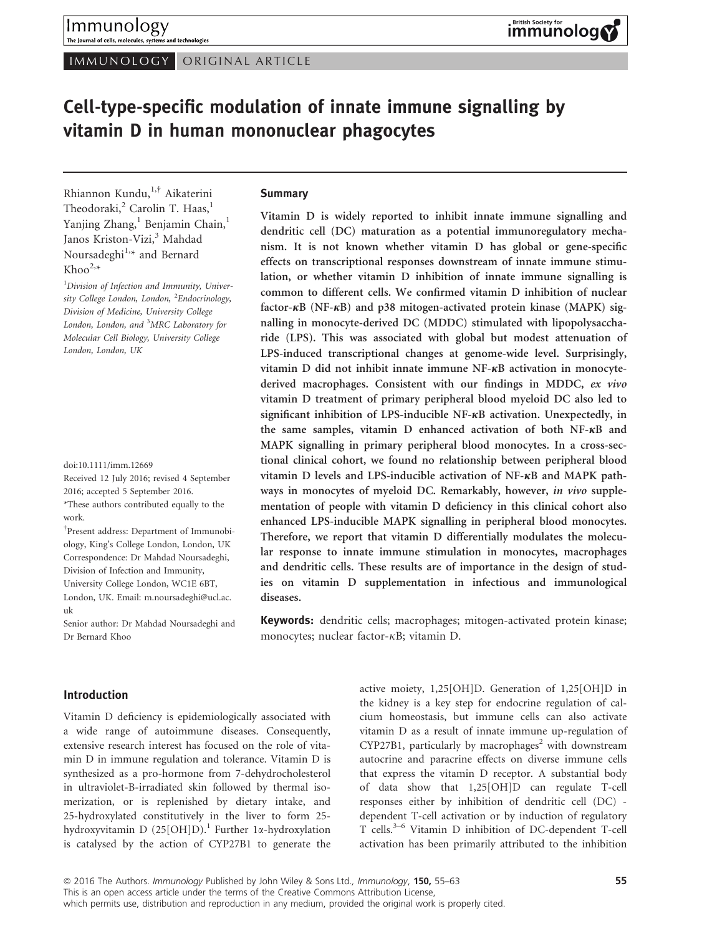IMMUNOLOGY ORIGINAL ARTICLE

# Cell-type-specific modulation of innate immune signalling by vitamin D in human mononuclear phagocytes

Rhiannon Kundu,1,† Aikaterini Theodoraki,<sup>2</sup> Carolin T. Haas,<sup>1</sup> Yanjing Zhang,<sup>1</sup> Benjamin Chain,<sup>1</sup> Janos Kriston-Vizi,<sup>3</sup> Mahdad Noursadeghi<sup>1,\*</sup> and Bernard  $Khoo^{2,\star}$ 

<sup>1</sup>Division of Infection and Immunity, University College London, London, <sup>2</sup>Endocrinology, Division of Medicine, University College London, London, and <sup>3</sup>MRC Laboratory for Molecular Cell Biology, University College London, London, UK

doi:10.1111/imm.12669

Received 12 July 2016; revised 4 September 2016; accepted 5 September 2016. \*These authors contributed equally to the work.

† Present address: Department of Immunobiology, King's College London, London, UK Correspondence: Dr Mahdad Noursadeghi, Division of Infection and Immunity, University College London, WC1E 6BT, London, UK. Email: m.noursadeghi@ucl.ac. uk

Senior author: Dr Mahdad Noursadeghi and Dr Bernard Khoo

#### Summary

Vitamin D is widely reported to inhibit innate immune signalling and dendritic cell (DC) maturation as a potential immunoregulatory mechanism. It is not known whether vitamin D has global or gene-specific effects on transcriptional responses downstream of innate immune stimulation, or whether vitamin D inhibition of innate immune signalling is common to different cells. We confirmed vitamin D inhibition of nuclear factor- $\kappa$ B (NF- $\kappa$ B) and p38 mitogen-activated protein kinase (MAPK) signalling in monocyte-derived DC (MDDC) stimulated with lipopolysaccharide (LPS). This was associated with global but modest attenuation of LPS-induced transcriptional changes at genome-wide level. Surprisingly, vitamin D did not inhibit innate immune  $NF$ - $\kappa$ B activation in monocytederived macrophages. Consistent with our findings in MDDC, ex vivo vitamin D treatment of primary peripheral blood myeloid DC also led to significant inhibition of LPS-inducible  $NF- $\kappa$ B$  activation. Unexpectedly, in the same samples, vitamin  $D$  enhanced activation of both NF- $\kappa$ B and MAPK signalling in primary peripheral blood monocytes. In a cross-sectional clinical cohort, we found no relationship between peripheral blood vitamin D levels and LPS-inducible activation of NF-KB and MAPK pathways in monocytes of myeloid DC. Remarkably, however, in vivo supplementation of people with vitamin D deficiency in this clinical cohort also enhanced LPS-inducible MAPK signalling in peripheral blood monocytes. Therefore, we report that vitamin D differentially modulates the molecular response to innate immune stimulation in monocytes, macrophages and dendritic cells. These results are of importance in the design of studies on vitamin D supplementation in infectious and immunological diseases.

Keywords: dendritic cells; macrophages; mitogen-activated protein kinase; monocytes; nuclear factor- $\kappa$ B; vitamin D.

#### Introduction

Vitamin D deficiency is epidemiologically associated with a wide range of autoimmune diseases. Consequently, extensive research interest has focused on the role of vitamin D in immune regulation and tolerance. Vitamin D is synthesized as a pro-hormone from 7-dehydrocholesterol in ultraviolet-B-irradiated skin followed by thermal isomerization, or is replenished by dietary intake, and 25-hydroxylated constitutively in the liver to form 25 hydroxyvitamin D (25[OH]D).<sup>1</sup> Further 1 $\alpha$ -hydroxylation is catalysed by the action of CYP27B1 to generate the

active moiety, 1,25[OH]D. Generation of 1,25[OH]D in the kidney is a key step for endocrine regulation of calcium homeostasis, but immune cells can also activate vitamin D as a result of innate immune up-regulation of  $CYP27B1$ , particularly by macrophages<sup>2</sup> with downstream autocrine and paracrine effects on diverse immune cells that express the vitamin D receptor. A substantial body of data show that 1,25[OH]D can regulate T-cell responses either by inhibition of dendritic cell (DC) dependent T-cell activation or by induction of regulatory T cells.3–<sup>6</sup> Vitamin D inhibition of DC-dependent T-cell activation has been primarily attributed to the inhibition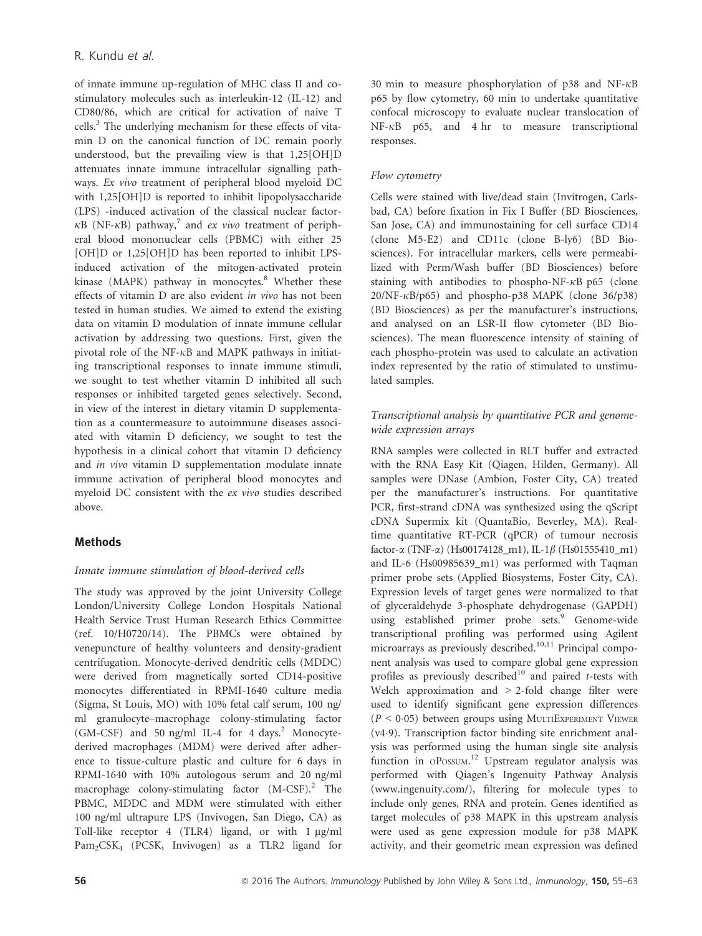of innate immune up-regulation of MHC class II and costimulatory molecules such as interleukin-12 (IL-12) and CD80/86, which are critical for activation of naive T cells.<sup>3</sup> The underlying mechanism for these effects of vitamin D on the canonical function of DC remain poorly understood, but the prevailing view is that 1,25[OH]D attenuates innate immune intracellular signalling pathways. Ex vivo treatment of peripheral blood myeloid DC with 1,25[OH]D is reported to inhibit lipopolysaccharide (LPS) -induced activation of the classical nuclear factor- $\kappa$ B (NF- $\kappa$ B) pathway,<sup>7</sup> and *ex vivo* treatment of peripheral blood mononuclear cells (PBMC) with either 25 [OH]D or 1,25[OH]D has been reported to inhibit LPSinduced activation of the mitogen-activated protein kinase (MAPK) pathway in monocytes.<sup>8</sup> Whether these effects of vitamin D are also evident in vivo has not been tested in human studies. We aimed to extend the existing data on vitamin D modulation of innate immune cellular activation by addressing two questions. First, given the pivotal role of the NF- $\kappa$ B and MAPK pathways in initiating transcriptional responses to innate immune stimuli, we sought to test whether vitamin D inhibited all such responses or inhibited targeted genes selectively. Second, in view of the interest in dietary vitamin D supplementation as a countermeasure to autoimmune diseases associated with vitamin D deficiency, we sought to test the hypothesis in a clinical cohort that vitamin D deficiency and in vivo vitamin D supplementation modulate innate immune activation of peripheral blood monocytes and myeloid DC consistent with the ex vivo studies described above.

# Methods

# Innate immune stimulation of blood-derived cells

The study was approved by the joint University College London/University College London Hospitals National Health Service Trust Human Research Ethics Committee (ref. 10/H0720/14). The PBMCs were obtained by venepuncture of healthy volunteers and density-gradient centrifugation. Monocyte-derived dendritic cells (MDDC) were derived from magnetically sorted CD14-positive monocytes differentiated in RPMI-1640 culture media (Sigma, St Louis, MO) with 10% fetal calf serum, 100 ng/ ml granulocyte–macrophage colony-stimulating factor  $(GM-CSF)$  and 50 ng/ml IL-4 for 4 days.<sup>2</sup> Monocytederived macrophages (MDM) were derived after adherence to tissue-culture plastic and culture for 6 days in RPMI-1640 with 10% autologous serum and 20 ng/ml macrophage colony-stimulating factor  $(M-CSF)^2$ . The PBMC, MDDC and MDM were stimulated with either 100 ng/ml ultrapure LPS (Invivogen, San Diego, CA) as Toll-like receptor 4 (TLR4) ligand, or with  $1 \mu g/ml$ Pam<sub>2</sub>CSK<sub>4</sub> (PCSK, Invivogen) as a TLR2 ligand for

30 min to measure phosphorylation of p38 and NF- $\kappa$ B p65 by flow cytometry, 60 min to undertake quantitative confocal microscopy to evaluate nuclear translocation of  $NF-\kappa B$  p65, and 4 hr to measure transcriptional responses.

## Flow cytometry

Cells were stained with live/dead stain (Invitrogen, Carlsbad, CA) before fixation in Fix I Buffer (BD Biosciences, San Jose, CA) and immunostaining for cell surface CD14 (clone M5-E2) and CD11c (clone B-ly6) (BD Biosciences). For intracellular markers, cells were permeabilized with Perm/Wash buffer (BD Biosciences) before staining with antibodies to phospho-NF- $\kappa$ B p65 (clone  $20/NF-\kappa B/p65$ ) and phospho-p38 MAPK (clone 36/p38) (BD Biosciences) as per the manufacturer's instructions, and analysed on an LSR-II flow cytometer (BD Biosciences). The mean fluorescence intensity of staining of each phospho-protein was used to calculate an activation index represented by the ratio of stimulated to unstimulated samples.

## Transcriptional analysis by quantitative PCR and genomewide expression arrays

RNA samples were collected in RLT buffer and extracted with the RNA Easy Kit (Qiagen, Hilden, Germany). All samples were DNase (Ambion, Foster City, CA) treated per the manufacturer's instructions. For quantitative PCR, first-strand cDNA was synthesized using the qScript cDNA Supermix kit (QuantaBio, Beverley, MA). Realtime quantitative RT-PCR (qPCR) of tumour necrosis factor- $\alpha$  (TNF- $\alpha$ ) (Hs00174128\_m1), IL-1 $\beta$  (Hs01555410\_m1) and IL-6 (Hs00985639\_m1) was performed with Taqman primer probe sets (Applied Biosystems, Foster City, CA). Expression levels of target genes were normalized to that of glyceraldehyde 3-phosphate dehydrogenase (GAPDH) using established primer probe sets.<sup>9</sup> Genome-wide transcriptional profiling was performed using Agilent microarrays as previously described.<sup>10,11</sup> Principal component analysis was used to compare global gene expression profiles as previously described<sup>10</sup> and paired t-tests with Welch approximation and > 2-fold change filter were used to identify significant gene expression differences  $(P < 0.05)$  between groups using MULTIEXPERIMENT VIEWER (v49). Transcription factor binding site enrichment analysis was performed using the human single site analysis function in OPOSSUM.<sup>12</sup> Upstream regulator analysis was performed with Qiagen's Ingenuity Pathway Analysis [\(www.ingenuity.com/\)](http://www.ingenuity.com/), filtering for molecule types to include only genes, RNA and protein. Genes identified as target molecules of p38 MAPK in this upstream analysis were used as gene expression module for p38 MAPK activity, and their geometric mean expression was defined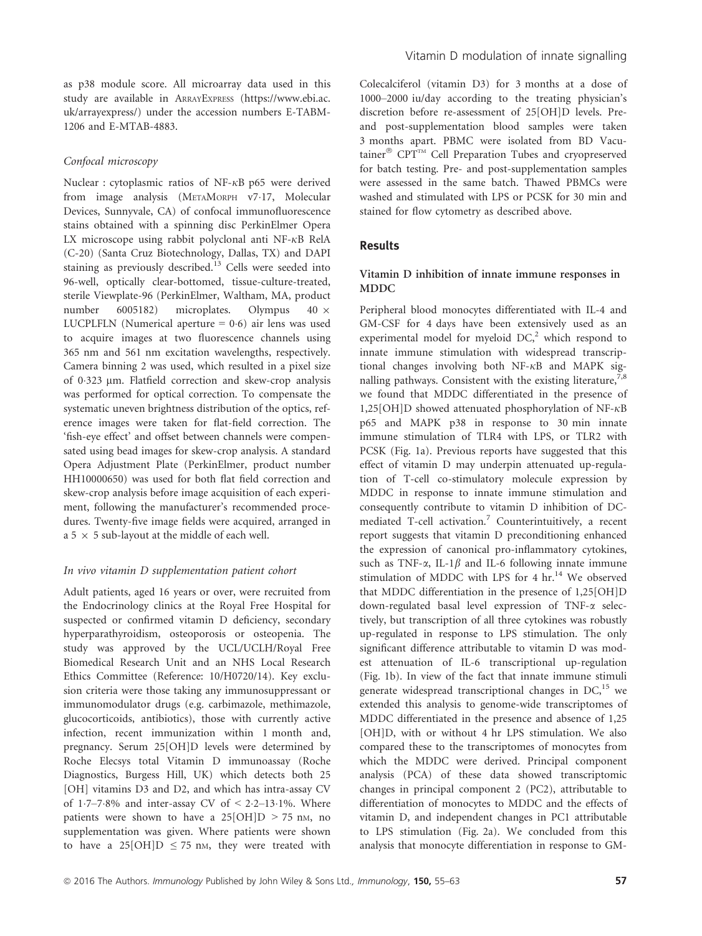as p38 module score. All microarray data used in this study are available in ARRAYEXPRESS [\(https://www.ebi.ac.](https://www.ebi.ac.uk/arrayexpress/) [uk/arrayexpress/\)](https://www.ebi.ac.uk/arrayexpress/) under the accession numbers E-TABM-1206 and E-MTAB-4883.

#### Confocal microscopy

Nuclear : cytoplasmic ratios of NF- $\kappa$ B p65 were derived from image analysis (METAMORPH v7.17, Molecular Devices, Sunnyvale, CA) of confocal immunofluorescence stains obtained with a spinning disc PerkinElmer Opera LX microscope using rabbit polyclonal anti NF- $\kappa$ B RelA (C-20) (Santa Cruz Biotechnology, Dallas, TX) and DAPI staining as previously described.<sup>13</sup> Cells were seeded into 96-well, optically clear-bottomed, tissue-culture-treated, sterile Viewplate-96 (PerkinElmer, Waltham, MA, product number 6005182) microplates. Olympus  $40 \times$ LUCPLFLN (Numerical aperture  $= 0.6$ ) air lens was used to acquire images at two fluorescence channels using 365 nm and 561 nm excitation wavelengths, respectively. Camera binning 2 was used, which resulted in a pixel size of 0323 lm. Flatfield correction and skew-crop analysis was performed for optical correction. To compensate the systematic uneven brightness distribution of the optics, reference images were taken for flat-field correction. The 'fish-eye effect' and offset between channels were compensated using bead images for skew-crop analysis. A standard Opera Adjustment Plate (PerkinElmer, product number HH10000650) was used for both flat field correction and skew-crop analysis before image acquisition of each experiment, following the manufacturer's recommended procedures. Twenty-five image fields were acquired, arranged in a 5  $\times$  5 sub-layout at the middle of each well.

## In vivo vitamin D supplementation patient cohort

Adult patients, aged 16 years or over, were recruited from the Endocrinology clinics at the Royal Free Hospital for suspected or confirmed vitamin D deficiency, secondary hyperparathyroidism, osteoporosis or osteopenia. The study was approved by the UCL/UCLH/Royal Free Biomedical Research Unit and an NHS Local Research Ethics Committee (Reference: 10/H0720/14). Key exclusion criteria were those taking any immunosuppressant or immunomodulator drugs (e.g. carbimazole, methimazole, glucocorticoids, antibiotics), those with currently active infection, recent immunization within 1 month and, pregnancy. Serum 25[OH]D levels were determined by Roche Elecsys total Vitamin D immunoassay (Roche Diagnostics, Burgess Hill, UK) which detects both 25 [OH] vitamins D3 and D2, and which has intra-assay CV of 1.7–7.8% and inter-assay CV of  $\leq$  2.2–13.1%. Where patients were shown to have a  $25[OH]D > 75$  nm, no supplementation was given. Where patients were shown to have a 25[OH]D  $\leq$  75 nm, they were treated with

Colecalciferol (vitamin D3) for 3 months at a dose of 1000–2000 iu/day according to the treating physician's discretion before re-assessment of 25[OH]D levels. Preand post-supplementation blood samples were taken 3 months apart. PBMC were isolated from BD Vacutainer<sup>®</sup> CPT™ Cell Preparation Tubes and cryopreserved for batch testing. Pre- and post-supplementation samples were assessed in the same batch. Thawed PBMCs were washed and stimulated with LPS or PCSK for 30 min and stained for flow cytometry as described above.

## Results

#### Vitamin D inhibition of innate immune responses in MDDC

Peripheral blood monocytes differentiated with IL-4 and GM-CSF for 4 days have been extensively used as an experimental model for myeloid  $DC<sub>1</sub><sup>2</sup>$  which respond to innate immune stimulation with widespread transcriptional changes involving both  $NF-\kappa B$  and MAPK signalling pathways. Consistent with the existing literature,  $7,8$ we found that MDDC differentiated in the presence of 1,25[OH]D showed attenuated phosphorylation of NF- $\kappa$ B p65 and MAPK p38 in response to 30 min innate immune stimulation of TLR4 with LPS, or TLR2 with PCSK (Fig. 1a). Previous reports have suggested that this effect of vitamin D may underpin attenuated up-regulation of T-cell co-stimulatory molecule expression by MDDC in response to innate immune stimulation and consequently contribute to vitamin D inhibition of DCmediated T-cell activation.<sup>7</sup> Counterintuitively, a recent report suggests that vitamin D preconditioning enhanced the expression of canonical pro-inflammatory cytokines, such as TNF- $\alpha$ , IL-1 $\beta$  and IL-6 following innate immune stimulation of MDDC with LPS for 4 hr.<sup>14</sup> We observed that MDDC differentiation in the presence of 1,25[OH]D down-regulated basal level expression of TNF-a selectively, but transcription of all three cytokines was robustly up-regulated in response to LPS stimulation. The only significant difference attributable to vitamin D was modest attenuation of IL-6 transcriptional up-regulation (Fig. 1b). In view of the fact that innate immune stimuli generate widespread transcriptional changes in  $DC<sub>15</sub>$  we extended this analysis to genome-wide transcriptomes of MDDC differentiated in the presence and absence of 1,25 [OH]D, with or without 4 hr LPS stimulation. We also compared these to the transcriptomes of monocytes from which the MDDC were derived. Principal component analysis (PCA) of these data showed transcriptomic changes in principal component 2 (PC2), attributable to differentiation of monocytes to MDDC and the effects of vitamin D, and independent changes in PC1 attributable to LPS stimulation (Fig. 2a). We concluded from this analysis that monocyte differentiation in response to GM-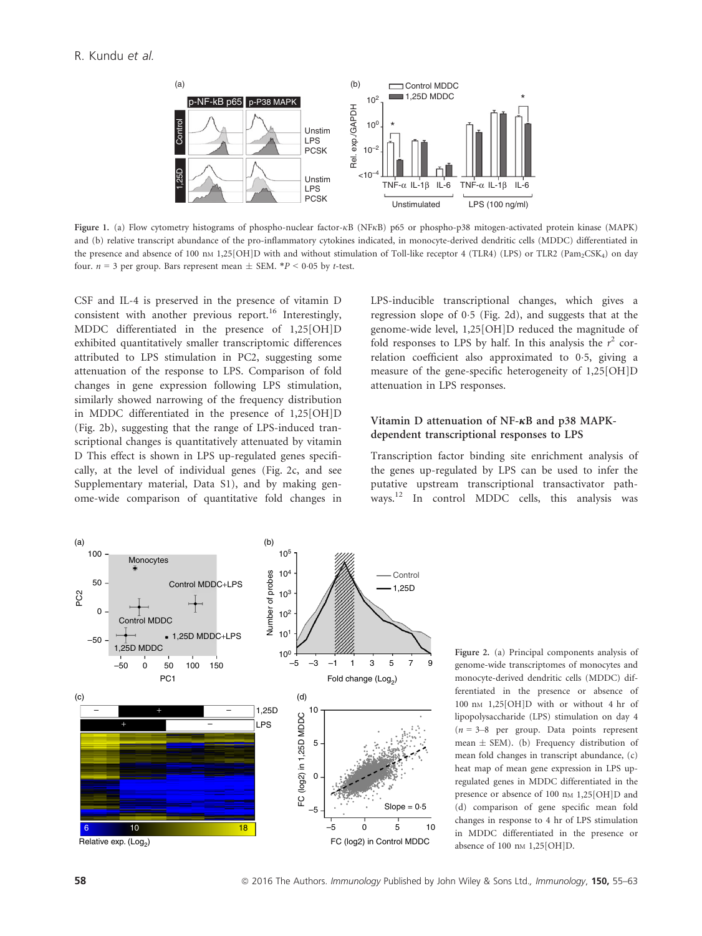

Figure 1. (a) Flow cytometry histograms of phospho-nuclear factor- $\kappa$ B (NF $\kappa$ B) p65 or phospho-p38 mitogen-activated protein kinase (MAPK) and (b) relative transcript abundance of the pro-inflammatory cytokines indicated, in monocyte-derived dendritic cells (MDDC) differentiated in the presence and absence of 100 nm 1,25[OH]D with and without stimulation of Toll-like receptor 4 (TLR4) (LPS) or TLR2 (Pam<sub>2</sub>CSK<sub>4</sub>) on day four.  $n = 3$  per group. Bars represent mean  $\pm$  SEM. \*P < 0.05 by t-test.

CSF and IL-4 is preserved in the presence of vitamin D consistent with another previous report.<sup>16</sup> Interestingly, MDDC differentiated in the presence of 1,25[OH]D exhibited quantitatively smaller transcriptomic differences attributed to LPS stimulation in PC2, suggesting some attenuation of the response to LPS. Comparison of fold changes in gene expression following LPS stimulation, similarly showed narrowing of the frequency distribution in MDDC differentiated in the presence of 1,25[OH]D (Fig. 2b), suggesting that the range of LPS-induced transcriptional changes is quantitatively attenuated by vitamin D This effect is shown in LPS up-regulated genes specifically, at the level of individual genes (Fig. 2c, and see Supplementary material, Data S1), and by making genome-wide comparison of quantitative fold changes in LPS-inducible transcriptional changes, which gives a regression slope of  $0.5$  (Fig. 2d), and suggests that at the genome-wide level, 1,25[OH]D reduced the magnitude of fold responses to LPS by half. In this analysis the  $r^2$  correlation coefficient also approximated to 0.5, giving a measure of the gene-specific heterogeneity of 1,25[OH]D attenuation in LPS responses.

## Vitamin D attenuation of NF- $\kappa$ B and p38 MAPKdependent transcriptional responses to LPS

Transcription factor binding site enrichment analysis of the genes up-regulated by LPS can be used to infer the putative upstream transcriptional transactivator pathways.<sup>12</sup> In control MDDC cells, this analysis was



Figure 2. (a) Principal components analysis of genome-wide transcriptomes of monocytes and monocyte-derived dendritic cells (MDDC) differentiated in the presence or absence of 100 nM 1,25[OH]D with or without 4 hr of lipopolysaccharide (LPS) stimulation on day 4  $(n = 3-8)$  per group. Data points represent mean  $\pm$  SEM). (b) Frequency distribution of mean fold changes in transcript abundance, (c) heat map of mean gene expression in LPS upregulated genes in MDDC differentiated in the presence or absence of 100 nm 1,25[OH]D and (d) comparison of gene specific mean fold changes in response to 4 hr of LPS stimulation in MDDC differentiated in the presence or absence of 100 nm 1,25[OH]D.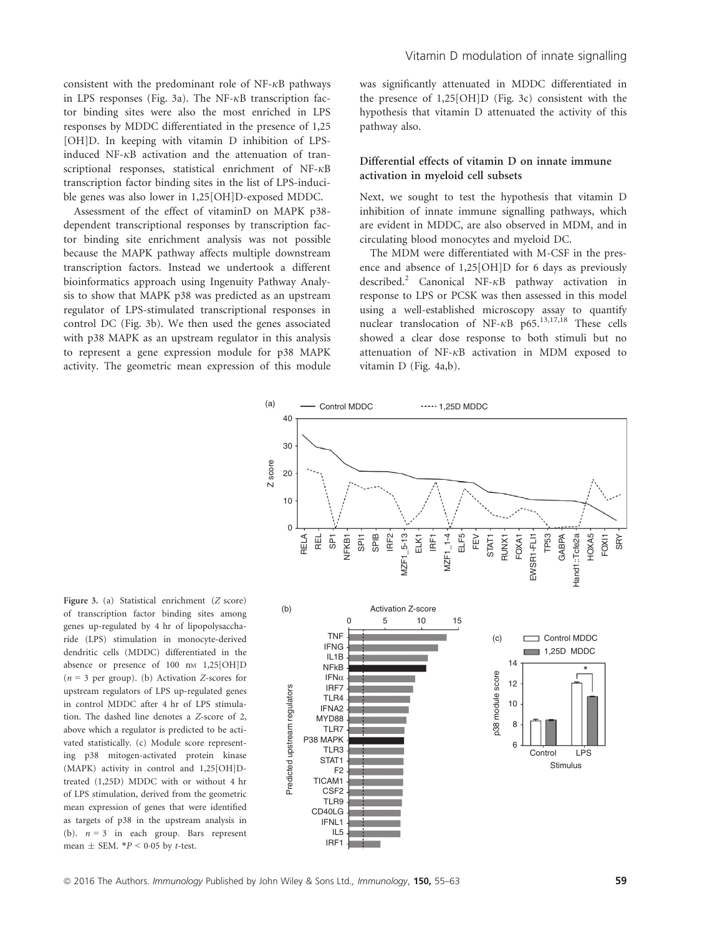consistent with the predominant role of  $NF-\kappa B$  pathways in LPS responses (Fig. 3a). The NF- $\kappa$ B transcription factor binding sites were also the most enriched in LPS responses by MDDC differentiated in the presence of 1,25 [OH]D. In keeping with vitamin D inhibition of LPSinduced NF- $\kappa$ B activation and the attenuation of transcriptional responses, statistical enrichment of  $NF-\kappa B$ transcription factor binding sites in the list of LPS-inducible genes was also lower in 1,25[OH]D-exposed MDDC.

Assessment of the effect of vitaminD on MAPK p38 dependent transcriptional responses by transcription factor binding site enrichment analysis was not possible because the MAPK pathway affects multiple downstream transcription factors. Instead we undertook a different bioinformatics approach using Ingenuity Pathway Analysis to show that MAPK p38 was predicted as an upstream regulator of LPS-stimulated transcriptional responses in control DC (Fig. 3b). We then used the genes associated with p38 MAPK as an upstream regulator in this analysis to represent a gene expression module for p38 MAPK activity. The geometric mean expression of this module was significantly attenuated in MDDC differentiated in the presence of 1,25[OH]D (Fig. 3c) consistent with the hypothesis that vitamin D attenuated the activity of this pathway also.

## Differential effects of vitamin D on innate immune activation in myeloid cell subsets

Next, we sought to test the hypothesis that vitamin D inhibition of innate immune signalling pathways, which are evident in MDDC, are also observed in MDM, and in circulating blood monocytes and myeloid DC.

The MDM were differentiated with M-CSF in the presence and absence of 1,25[OH]D for 6 days as previously described.<sup>2</sup> Canonical NF- $\kappa$ B pathway activation in response to LPS or PCSK was then assessed in this model using a well-established microscopy assay to quantify nuclear translocation of NF- $\kappa$ B p65.<sup>13,17,18</sup> These cells showed a clear dose response to both stimuli but no attenuation of  $NF-\kappa B$  activation in MDM exposed to vitamin D (Fig. 4a,b).



Figure 3. (a) Statistical enrichment (Z score) of transcription factor binding sites among genes up-regulated by 4 hr of lipopolysaccharide (LPS) stimulation in monocyte-derived dendritic cells (MDDC) differentiated in the absence or presence of 100 nm 1,25[OH]D  $(n = 3$  per group). (b) Activation Z-scores for upstream regulators of LPS up-regulated genes in control MDDC after 4 hr of LPS stimulation. The dashed line denotes a Z-score of 2, above which a regulator is predicted to be activated statistically. (c) Module score representing p38 mitogen-activated protein kinase (MAPK) activity in control and 1,25[OH]Dtreated (1,25D) MDDC with or without 4 hr of LPS stimulation, derived from the geometric mean expression of genes that were identified as targets of p38 in the upstream analysis in (b).  $n = 3$  in each group. Bars represent mean  $\pm$  SEM.  $*P < 0.05$  by t-test.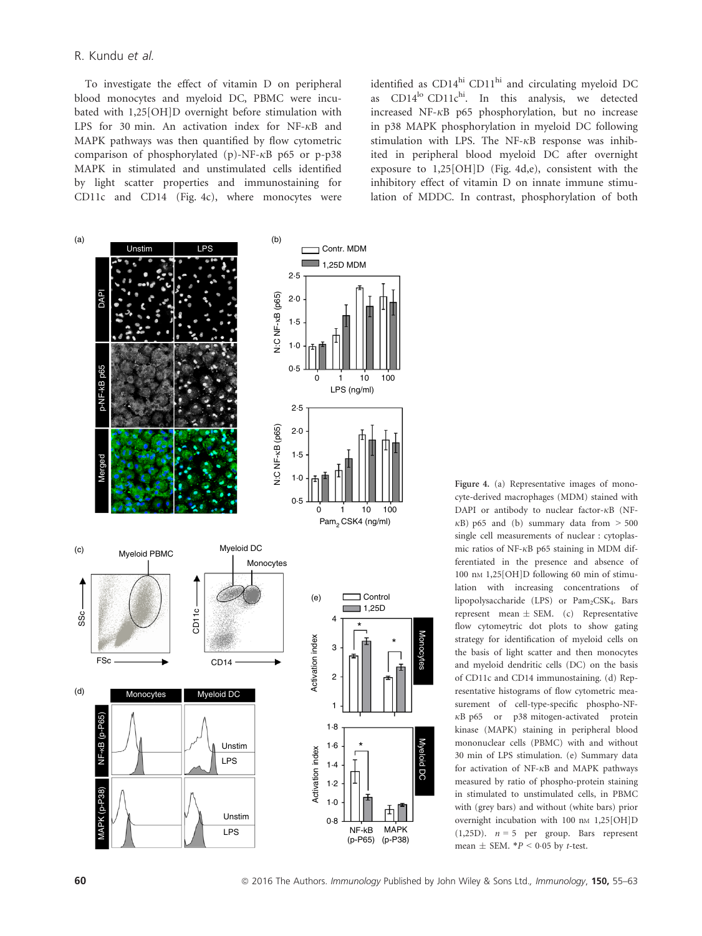#### R. Kundu et al.

To investigate the effect of vitamin D on peripheral blood monocytes and myeloid DC, PBMC were incubated with 1,25[OH]D overnight before stimulation with LPS for 30 min. An activation index for NF- $\kappa$ B and MAPK pathways was then quantified by flow cytometric comparison of phosphorylated (p)-NF- $\kappa$ B p65 or p-p38 MAPK in stimulated and unstimulated cells identified by light scatter properties and immunostaining for CD11c and CD14 (Fig. 4c), where monocytes were identified as  $CD14<sup>hi</sup> CD11<sup>hi</sup>$  and circulating myeloid DC as  $CD14^{lo} CD11c^{hi}$ . In this analysis, we detected increased NF- $\kappa$ B p65 phosphorylation, but no increase in p38 MAPK phosphorylation in myeloid DC following stimulation with LPS. The NF- $\kappa$ B response was inhibited in peripheral blood myeloid DC after overnight exposure to 1,25[OH]D (Fig. 4d,e), consistent with the inhibitory effect of vitamin D on innate immune stimulation of MDDC. In contrast, phosphorylation of both



Figure 4. (a) Representative images of monocyte-derived macrophages (MDM) stained with DAPI or antibody to nuclear factor- $\kappa$ B (NF- $\kappa$ B) p65 and (b) summary data from  $> 500$ single cell measurements of nuclear : cytoplasmic ratios of NF- $\kappa$ B p65 staining in MDM differentiated in the presence and absence of 100 nm 1,25 $[OH]D$  following 60 min of stimulation with increasing concentrations of lipopolysaccharide (LPS) or Pam<sub>2</sub>CSK<sub>4</sub>. Bars represent mean  $\pm$  SEM. (c) Representative flow cytomeytric dot plots to show gating strategy for identification of myeloid cells on the basis of light scatter and then monocytes and myeloid dendritic cells (DC) on the basis of CD11c and CD14 immunostaining. (d) Representative histograms of flow cytometric measurement of cell-type-specific phospho-NF- $\kappa$ B p65 or p38 mitogen-activated protein kinase (MAPK) staining in peripheral blood mononuclear cells (PBMC) with and without 30 min of LPS stimulation. (e) Summary data for activation of  $NF-\kappa B$  and MAPK pathways measured by ratio of phospho-protein staining in stimulated to unstimulated cells, in PBMC with (grey bars) and without (white bars) prior overnight incubation with  $100 \text{ nm}$  1,25[OH]D  $(1,25D)$ .  $n = 5$  per group. Bars represent mean  $\pm$  SEM.  $*P < 0.05$  by t-test.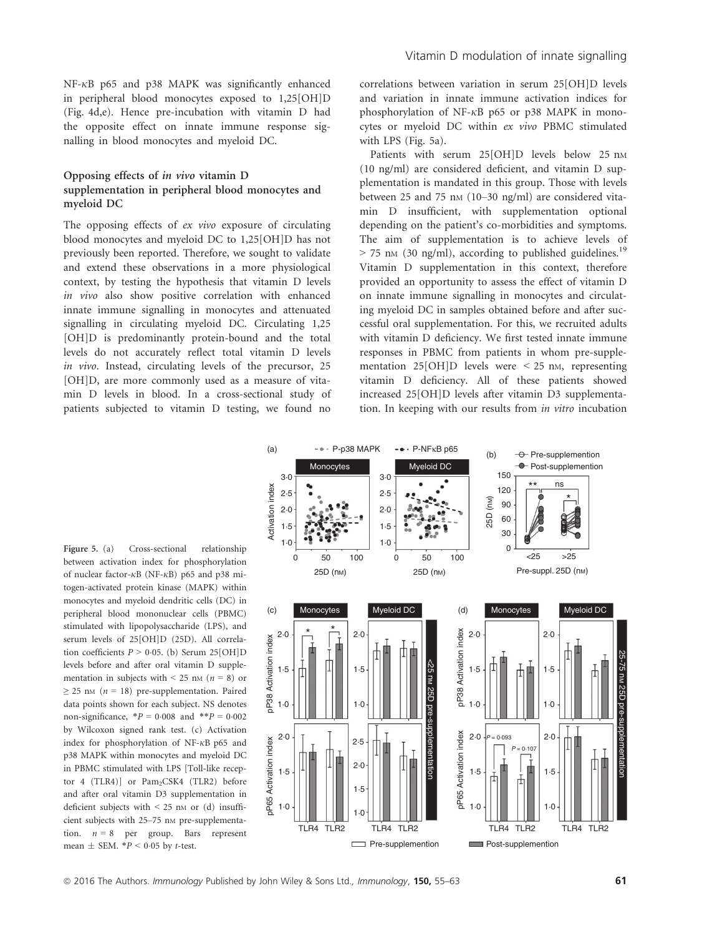$NF-\kappa B$  p65 and p38 MAPK was significantly enhanced in peripheral blood monocytes exposed to 1,25[OH]D (Fig. 4d,e). Hence pre-incubation with vitamin D had the opposite effect on innate immune response signalling in blood monocytes and myeloid DC.

## Opposing effects of in vivo vitamin D supplementation in peripheral blood monocytes and myeloid DC

The opposing effects of ex vivo exposure of circulating blood monocytes and myeloid DC to 1,25[OH]D has not previously been reported. Therefore, we sought to validate and extend these observations in a more physiological context, by testing the hypothesis that vitamin D levels in vivo also show positive correlation with enhanced innate immune signalling in monocytes and attenuated signalling in circulating myeloid DC. Circulating 1,25 [OH]D is predominantly protein-bound and the total levels do not accurately reflect total vitamin D levels in vivo. Instead, circulating levels of the precursor, 25 [OH]D, are more commonly used as a measure of vitamin D levels in blood. In a cross-sectional study of patients subjected to vitamin D testing, we found no

correlations between variation in serum 25[OH]D levels and variation in innate immune activation indices for phosphorylation of NF- $\kappa$ B p65 or p38 MAPK in monocytes or myeloid DC within ex vivo PBMC stimulated with LPS (Fig. 5a).

Patients with serum 25[OH]D levels below 25 nm (10 ng/ml) are considered deficient, and vitamin D supplementation is mandated in this group. Those with levels between 25 and 75 nm  $(10-30 \text{ ng/ml})$  are considered vitamin D insufficient, with supplementation optional depending on the patient's co-morbidities and symptoms. The aim of supplementation is to achieve levels of  $>$  75 nm (30 ng/ml), according to published guidelines.<sup>19</sup> Vitamin D supplementation in this context, therefore provided an opportunity to assess the effect of vitamin D on innate immune signalling in monocytes and circulating myeloid DC in samples obtained before and after successful oral supplementation. For this, we recruited adults with vitamin D deficiency. We first tested innate immune responses in PBMC from patients in whom pre-supplementation 25[OH]D levels were  $\leq$  25 nm, representing vitamin D deficiency. All of these patients showed increased 25[OH]D levels after vitamin D3 supplementation. In keeping with our results from in vitro incubation

Figure 5. (a) Cross-sectional relationship between activation index for phosphorylation of nuclear factor- $\kappa$ B (NF- $\kappa$ B) p65 and p38 mitogen-activated protein kinase (MAPK) within monocytes and myeloid dendritic cells (DC) in peripheral blood mononuclear cells (PBMC) stimulated with lipopolysaccharide (LPS), and serum levels of 25[OH]D (25D). All correlation coefficients  $P > 0.05$ . (b) Serum 25[OH]D levels before and after oral vitamin D supplementation in subjects with  $\leq$  25 nm (n = 8) or  $\geq$  25 nm (n = 18) pre-supplementation. Paired data points shown for each subject. NS denotes non-significance,  $*P = 0.008$  and  $*P = 0.002$ by Wilcoxon signed rank test. (c) Activation index for phosphorylation of NF- $\kappa$ B p65 and p38 MAPK within monocytes and myeloid DC in PBMC stimulated with LPS [Toll-like receptor 4 (TLR4)] or Pam<sub>2</sub>CSK4 (TLR2) before and after oral vitamin D3 supplementation in deficient subjects with  $\leq$  25 nm or (d) insufficient subjects with 25-75 nm pre-supplementation.  $n = 8$  per group. Bars represent mean  $\pm$  SEM.  $*P < 0.05$  by t-test.



<sup>©</sup> 2016 The Authors. Immunology Published by John Wiley & Sons Ltd., Immunology, **150,** 55–63 61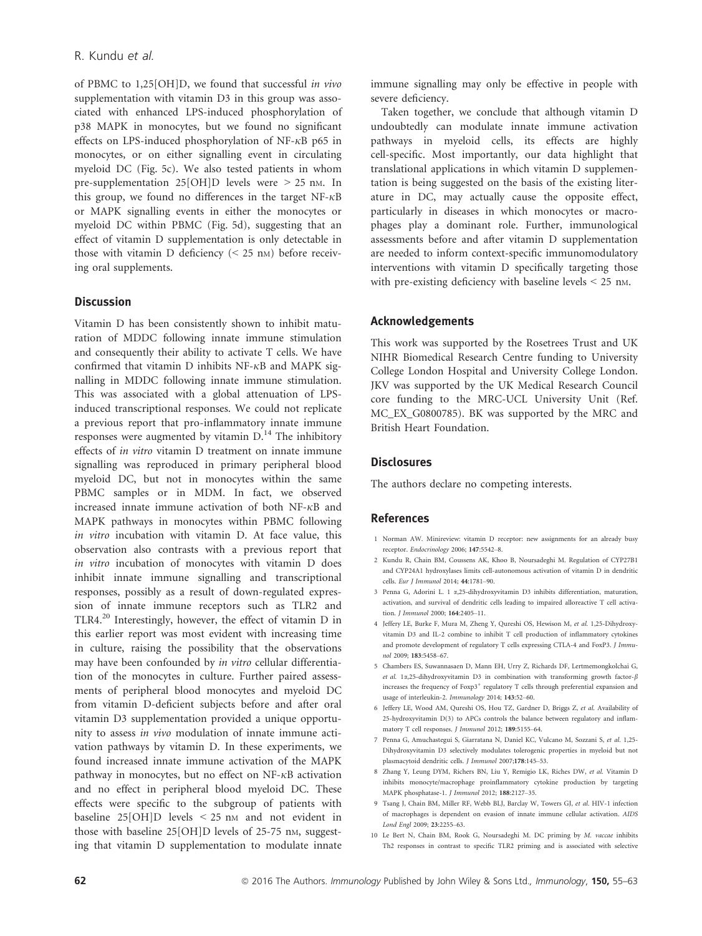of PBMC to 1,25[OH]D, we found that successful in vivo supplementation with vitamin D3 in this group was associated with enhanced LPS-induced phosphorylation of p38 MAPK in monocytes, but we found no significant effects on LPS-induced phosphorylation of NF- $\kappa$ B p65 in monocytes, or on either signalling event in circulating myeloid DC (Fig. 5c). We also tested patients in whom pre-supplementation  $25[OH]D$  levels were  $> 25$  nm. In this group, we found no differences in the target  $NF-\kappa B$ or MAPK signalling events in either the monocytes or myeloid DC within PBMC (Fig. 5d), suggesting that an effect of vitamin D supplementation is only detectable in those with vitamin D deficiency  $(< 25 \text{ nm})$  before receiving oral supplements.

## **Discussion**

Vitamin D has been consistently shown to inhibit maturation of MDDC following innate immune stimulation and consequently their ability to activate T cells. We have confirmed that vitamin  $D$  inhibits NF- $\kappa$ B and MAPK signalling in MDDC following innate immune stimulation. This was associated with a global attenuation of LPSinduced transcriptional responses. We could not replicate a previous report that pro-inflammatory innate immune responses were augmented by vitamin  $D<sup>14</sup>$ . The inhibitory effects of in vitro vitamin D treatment on innate immune signalling was reproduced in primary peripheral blood myeloid DC, but not in monocytes within the same PBMC samples or in MDM. In fact, we observed increased innate immune activation of both  $NF-\kappa B$  and MAPK pathways in monocytes within PBMC following in vitro incubation with vitamin D. At face value, this observation also contrasts with a previous report that in vitro incubation of monocytes with vitamin D does inhibit innate immune signalling and transcriptional responses, possibly as a result of down-regulated expression of innate immune receptors such as TLR2 and TLR4.<sup>20</sup> Interestingly, however, the effect of vitamin D in this earlier report was most evident with increasing time in culture, raising the possibility that the observations may have been confounded by in vitro cellular differentiation of the monocytes in culture. Further paired assessments of peripheral blood monocytes and myeloid DC from vitamin D-deficient subjects before and after oral vitamin D3 supplementation provided a unique opportunity to assess in vivo modulation of innate immune activation pathways by vitamin D. In these experiments, we found increased innate immune activation of the MAPK pathway in monocytes, but no effect on  $NF-\kappa B$  activation and no effect in peripheral blood myeloid DC. These effects were specific to the subgroup of patients with baseline  $25[OH]D$  levels  $\leq 25$  nm and not evident in those with baseline 25 [OH]D levels of 25-75 nm, suggesting that vitamin D supplementation to modulate innate

immune signalling may only be effective in people with severe deficiency.

Taken together, we conclude that although vitamin D undoubtedly can modulate innate immune activation pathways in myeloid cells, its effects are highly cell-specific. Most importantly, our data highlight that translational applications in which vitamin D supplementation is being suggested on the basis of the existing literature in DC, may actually cause the opposite effect, particularly in diseases in which monocytes or macrophages play a dominant role. Further, immunological assessments before and after vitamin D supplementation are needed to inform context-specific immunomodulatory interventions with vitamin D specifically targeting those with pre-existing deficiency with baseline levels < 25 nM.

#### Acknowledgements

This work was supported by the Rosetrees Trust and UK NIHR Biomedical Research Centre funding to University College London Hospital and University College London. JKV was supported by the UK Medical Research Council core funding to the MRC-UCL University Unit (Ref. MC\_EX\_G0800785). BK was supported by the MRC and British Heart Foundation.

## **Disclosures**

The authors declare no competing interests.

#### References

- 1 Norman AW. Minireview: vitamin D receptor: new assignments for an already busy receptor. Endocrinology 2006; 147:5542–8.
- 2 Kundu R, Chain BM, Coussens AK, Khoo B, Noursadeghi M. Regulation of CYP27B1 and CYP24A1 hydroxylases limits cell-autonomous activation of vitamin D in dendritic cells. Eur J Immunol 2014; 44:1781–90.
- 3 Penna G, Adorini L. 1  $\alpha$ ,25-dihydroxyvitamin D3 inhibits differentiation, maturation, activation, and survival of dendritic cells leading to impaired alloreactive T cell activation. J Immunol 2000; 164:2405–11.
- 4 Jeffery LE, Burke F, Mura M, Zheng Y, Qureshi OS, Hewison M, et al. 1,25-Dihydroxyvitamin D3 and IL-2 combine to inhibit T cell production of inflammatory cytokines and promote development of regulatory T cells expressing CTLA-4 and FoxP3. J Immunol 2009; 183:5458–67.
- 5 Chambers ES, Suwannasaen D, Mann EH, Urry Z, Richards DF, Lertmemongkolchai G, et al. 1a,25-dihydroxyvitamin D3 in combination with transforming growth factor- $\beta$ increases the frequency of  $F\alpha p3$ <sup>+</sup> regulatory T cells through preferential expansion and usage of interleukin-2. Immunology 2014; 143:52–60.
- 6 Jeffery LE, Wood AM, Qureshi OS, Hou TZ, Gardner D, Briggs Z, et al. Availability of 25-hydroxyvitamin D(3) to APCs controls the balance between regulatory and inflammatory T cell responses. J Immunol 2012; 189:5155–64.
- 7 Penna G, Amuchastegui S, Giarratana N, Daniel KC, Vulcano M, Sozzani S, et al. 1,25- Dihydroxyvitamin D3 selectively modulates tolerogenic properties in myeloid but not plasmacytoid dendritic cells. J Immunol 2007;178:145–53.
- 8 Zhang Y, Leung DYM, Richers BN, Liu Y, Remigio LK, Riches DW, et al. Vitamin D inhibits monocyte/macrophage proinflammatory cytokine production by targeting MAPK phosphatase-1. J Immunol 2012; 188:2127–35.
- 9 Tsang J, Chain BM, Miller RF, Webb BLJ, Barclay W, Towers GJ, et al. HIV-1 infection of macrophages is dependent on evasion of innate immune cellular activation. AIDS Lond Engl 2009; 23:2255–63.
- 10 Le Bert N, Chain BM, Rook G, Noursadeghi M. DC priming by M. vaccae inhibits Th2 responses in contrast to specific TLR2 priming and is associated with selective